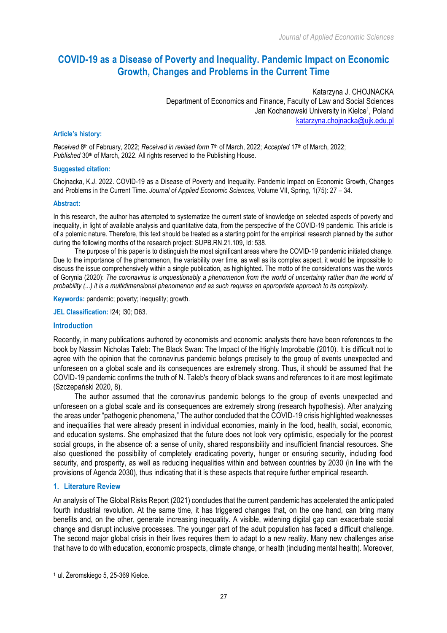# **COVID-19 as a Disease of Poverty and Inequality. Pandemic Impact on Economic Growth, Changes and Problems in the Current Time**

Katarzyna J. CHOJNACKA Department of Economics and Finance, Faculty of Law and Social Sciences Jan Kochanowski University in Kielce<sup>1</sup>, Poland katarzyna.chojnacka@ujk.edu.pl

### **Article's history:**

*Received* 8th of February, 2022; *Received in revised form* 7th of March, 2022; *Accepted* 17th of March, 2022; Published 30<sup>th</sup> of March, 2022. All rights reserved to the Publishing House.

### **Suggested citation:**

Chojnacka, K.J. 2022. COVID-19 as a Disease of Poverty and Inequality. Pandemic Impact on Economic Growth, Changes and Problems in the Current Time. *Journal of Applied Economic Sciences*, Volume VII, Spring, 1(75): 27 – 34.

### **Abstract:**

In this research, the author has attempted to systematize the current state of knowledge on selected aspects of poverty and inequality, in light of available analysis and quantitative data, from the perspective of the COVID-19 pandemic. This article is of a polemic nature. Therefore, this text should be treated as a starting point for the empirical research planned by the author during the following months of the research project: SUPB.RN.21.109, Id: 538.

The purpose of this paper is to distinguish the most significant areas where the COVID-19 pandemic initiated change. Due to the importance of the phenomenon, the variability over time, as well as its complex aspect, it would be impossible to discuss the issue comprehensively within a single publication, as highlighted. The motto of the considerations was the words of Gorynia (2020): *The coronavirus is unquestionably a phenomenon from the world of uncertainty rather than the world of probability (...) it is a multidimensional phenomenon and as such requires an appropriate approach to its complexity.* 

**Keywords:** pandemic; poverty; inequality; growth.

**JEL Classification:** I24; I30; D63.

# **Introduction**

Recently, in many publications authored by economists and economic analysts there have been references to the book by Nassim Nicholas Taleb: The Black Swan: The Impact of the Highly Improbable (2010). It is difficult not to agree with the opinion that the coronavirus pandemic belongs precisely to the group of events unexpected and unforeseen on a global scale and its consequences are extremely strong. Thus, it should be assumed that the COVID-19 pandemic confirms the truth of N. Taleb's theory of black swans and references to it are most legitimate (Szczepański 2020, 8).

The author assumed that the coronavirus pandemic belongs to the group of events unexpected and unforeseen on a global scale and its consequences are extremely strong (research hypothesis). After analyzing the areas under "pathogenic phenomena," The author concluded that the COVID-19 crisis highlighted weaknesses and inequalities that were already present in individual economies, mainly in the food, health, social, economic, and education systems. She emphasized that the future does not look very optimistic, especially for the poorest social groups, in the absence of: a sense of unity, shared responsibility and insufficient financial resources. She also questioned the possibility of completely eradicating poverty, hunger or ensuring security, including food security, and prosperity, as well as reducing inequalities within and between countries by 2030 (in line with the provisions of Agenda 2030), thus indicating that it is these aspects that require further empirical research.

# **1. Literature Review**

 $\overline{a}$ 

An analysis of The Global Risks Report (2021) concludes that the current pandemic has accelerated the anticipated fourth industrial revolution. At the same time, it has triggered changes that, on the one hand, can bring many benefits and, on the other, generate increasing inequality. A visible, widening digital gap can exacerbate social change and disrupt inclusive processes. The younger part of the adult population has faced a difficult challenge. The second major global crisis in their lives requires them to adapt to a new reality. Many new challenges arise that have to do with education, economic prospects, climate change, or health (including mental health). Moreover,

<sup>1</sup> ul. Żeromskiego 5, 25-369 Kielce.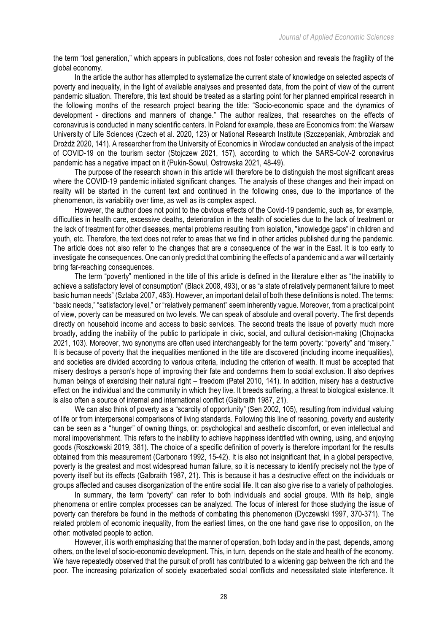the term "lost generation," which appears in publications, does not foster cohesion and reveals the fragility of the global economy.

In the article the author has attempted to systematize the current state of knowledge on selected aspects of poverty and inequality, in the light of available analyses and presented data, from the point of view of the current pandemic situation. Therefore, this text should be treated as a starting point for her planned empirical research in the following months of the research project bearing the title: "Socio-economic space and the dynamics of development - directions and manners of change." The author realizes, that researches on the effects of coronavirus is conducted in many scientific centers. In Poland for example, these are Economics from: the Warsaw University of Life Sciences (Czech et al. 2020, 123) or National Research Institute (Szczepaniak, Ambroziak and Drożdż 2020, 141). A researcher from the University of Economics in Wroclaw conducted an analysis of the impact of COVID-19 on the tourism sector (Stojczew 2021, 157), according to which the SARS-CoV-2 coronavirus pandemic has a negative impact on it (Pukin-Sowul, Ostrowska 2021, 48-49).

The purpose of the research shown in this article will therefore be to distinguish the most significant areas where the COVID-19 pandemic initiated significant changes. The analysis of these changes and their impact on reality will be started in the current text and continued in the following ones, due to the importance of the phenomenon, its variability over time, as well as its complex aspect.

However, the author does not point to the obvious effects of the Covid-19 pandemic, such as, for example, difficulties in health care, excessive deaths, deterioration in the health of societies due to the lack of treatment or the lack of treatment for other diseases, mental problems resulting from isolation, "knowledge gaps" in children and youth, etc. Therefore, the text does not refer to areas that we find in other articles published during the pandemic. The article does not also refer to the changes that are a consequence of the war in the East. It is too early to investigate the consequences. One can only predict that combining the effects of a pandemic and a war will certainly bring far-reaching consequences.

The term "poverty" mentioned in the title of this article is defined in the literature either as "the inability to achieve a satisfactory level of consumption" (Black 2008, 493), or as "a state of relatively permanent failure to meet basic human needs" (Sztaba 2007, 483). However, an important detail of both these definitions is noted. The terms: "basic needs," "satisfactory level," or "relatively permanent" seem inherently vague. Moreover, from a practical point of view, poverty can be measured on two levels. We can speak of absolute and overall poverty. The first depends directly on household income and access to basic services. The second treats the issue of poverty much more broadly, adding the inability of the public to participate in civic, social, and cultural decision-making (Chojnacka 2021, 103). Moreover, two synonyms are often used interchangeably for the term poverty: "poverty" and "misery." It is because of poverty that the inequalities mentioned in the title are discovered (including income inequalities), and societies are divided according to various criteria, including the criterion of wealth. It must be accepted that misery destroys a person's hope of improving their fate and condemns them to social exclusion. It also deprives human beings of exercising their natural right – freedom (Patel 2010, 141). In addition, misery has a destructive effect on the individual and the community in which they live. It breeds suffering, a threat to biological existence. It is also often a source of internal and international conflict (Galbraith 1987, 21).

We can also think of poverty as a "scarcity of opportunity" (Sen 2002, 105), resulting from individual valuing of life or from interpersonal comparisons of living standards. Following this line of reasoning, poverty and austerity can be seen as a "hunger" of owning things, or: psychological and aesthetic discomfort, or even intellectual and moral impoverishment. This refers to the inability to achieve happiness identified with owning, using, and enjoying goods (Roszkowski 2019, 381). The choice of a specific definition of poverty is therefore important for the results obtained from this measurement (Carbonaro 1992, 15-42). It is also not insignificant that, in a global perspective, poverty is the greatest and most widespread human failure, so it is necessary to identify precisely not the type of poverty itself but its effects (Galbraith 1987, 21). This is because it has a destructive effect on the individuals or groups affected and causes disorganization of the entire social life. It can also give rise to a variety of pathologies.

In summary, the term "poverty" can refer to both individuals and social groups. With its help, single phenomena or entire complex processes can be analyzed. The focus of interest for those studying the issue of poverty can therefore be found in the methods of combating this phenomenon (Dyczewski 1997, 370-371). The related problem of economic inequality, from the earliest times, on the one hand gave rise to opposition, on the other: motivated people to action.

However, it is worth emphasizing that the manner of operation, both today and in the past, depends, among others, on the level of socio-economic development. This, in turn, depends on the state and health of the economy. We have repeatedly observed that the pursuit of profit has contributed to a widening gap between the rich and the poor. The increasing polarization of society exacerbated social conflicts and necessitated state interference. It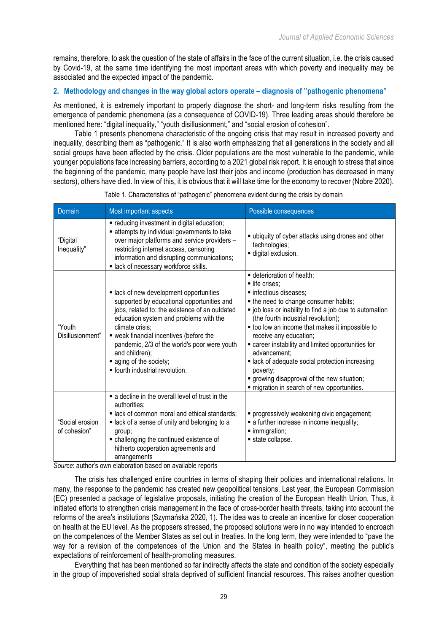remains, therefore, to ask the question of the state of affairs in the face of the current situation, i.e. the crisis caused by Covid-19, at the same time identifying the most important areas with which poverty and inequality may be associated and the expected impact of the pandemic.

# **2. Methodology and changes in the way global actors operate – diagnosis of "pathogenic phenomena"**

As mentioned, it is extremely important to properly diagnose the short- and long-term risks resulting from the emergence of pandemic phenomena (as a consequence of COVID-19). Three leading areas should therefore be mentioned here: "digital inequality," "youth disillusionment," and "social erosion of cohesion".

Table 1 presents phenomena characteristic of the ongoing crisis that may result in increased poverty and inequality, describing them as "pathogenic." It is also worth emphasizing that all generations in the society and all social groups have been affected by the crisis. Older populations are the most vulnerable to the pandemic, while younger populations face increasing barriers, according to a 2021 global risk report. It is enough to stress that since the beginning of the pandemic, many people have lost their jobs and income (production has decreased in many sectors), others have died. In view of this, it is obvious that it will take time for the economy to recover (Nobre 2020).

| Domain                          | Most important aspects                                                                                                                                                                                                                                                                                                                                                        | Possible consequences                                                                                                                                                                                                                                                                                                                                                                                                                                                                                               |
|---------------------------------|-------------------------------------------------------------------------------------------------------------------------------------------------------------------------------------------------------------------------------------------------------------------------------------------------------------------------------------------------------------------------------|---------------------------------------------------------------------------------------------------------------------------------------------------------------------------------------------------------------------------------------------------------------------------------------------------------------------------------------------------------------------------------------------------------------------------------------------------------------------------------------------------------------------|
| "Digital<br>Inequality"         | " reducing investment in digital education;<br>attempts by individual governments to take<br>over major platforms and service providers -<br>restricting internet access, censoring<br>information and disrupting communications;<br>· lack of necessary workforce skills.                                                                                                    | " ubiquity of cyber attacks using drones and other<br>technologies;<br>digital exclusion.                                                                                                                                                                                                                                                                                                                                                                                                                           |
| "Youth<br>Disillusionment"      | lack of new development opportunities<br>supported by educational opportunities and<br>jobs, related to: the existence of an outdated<br>education system and problems with the<br>climate crisis:<br>• weak financial incentives (before the<br>pandemic, 2/3 of the world's poor were youth<br>and children);<br>• aging of the society;<br>· fourth industrial revolution. | deterioration of health;<br>life crises:<br>· infectious diseases;<br>the need to change consumer habits;<br>" job loss or inability to find a job due to automation<br>(the fourth industrial revolution);<br>too low an income that makes it impossible to<br>receive any education;<br>• career instability and limited opportunities for<br>advancement:<br>lack of adequate social protection increasing<br>poverty;<br>growing disapproval of the new situation;<br>migration in search of new opportunities. |
| "Social erosion<br>of cohesion" | a decline in the overall level of trust in the<br>authorities;<br>lack of common moral and ethical standards;<br>lack of a sense of unity and belonging to a<br>group;<br>• challenging the continued existence of<br>hitherto cooperation agreements and<br>arrangements                                                                                                     | progressively weakening civic engagement;<br>a further increase in income inequality;<br>· immigration;<br>state collapse.                                                                                                                                                                                                                                                                                                                                                                                          |

Table 1. Characteristics of "pathogenic" phenomena evident during the crisis by domain

*Source*: author's own elaboration based on available reports

The crisis has challenged entire countries in terms of shaping their policies and international relations. In many, the response to the pandemic has created new geopolitical tensions. Last year, the European Commission (EC) presented a package of legislative proposals, initiating the creation of the European Health Union. Thus, it initiated efforts to strengthen crisis management in the face of cross-border health threats, taking into account the reforms of the area's institutions (Szymańska 2020, 1). The idea was to create an incentive for closer cooperation on health at the EU level. As the proposers stressed, the proposed solutions were in no way intended to encroach on the competences of the Member States as set out in treaties. In the long term, they were intended to "pave the way for a revision of the competences of the Union and the States in health policy", meeting the public's expectations of reinforcement of health-promoting measures.

Everything that has been mentioned so far indirectly affects the state and condition of the society especially in the group of impoverished social strata deprived of sufficient financial resources. This raises another question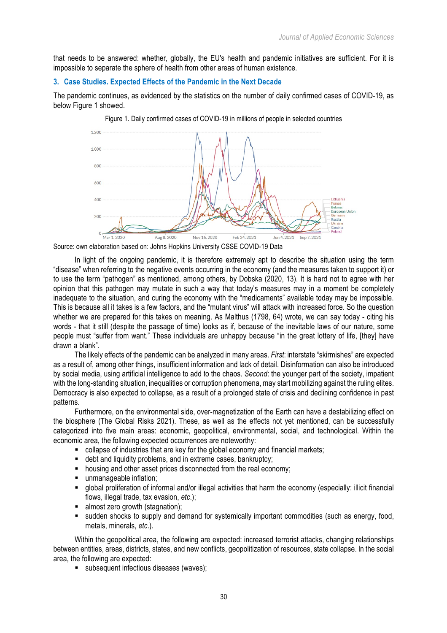that needs to be answered: whether, globally, the EU's health and pandemic initiatives are sufficient. For it is impossible to separate the sphere of health from other areas of human existence.

# **3. Case Studies. Expected Effects of the Pandemic in the Next Decade**

The pandemic continues, as evidenced by the statistics on the number of daily confirmed cases of COVID-19, as below Figure 1 showed.

Figure 1. Daily confirmed cases of COVID-19 in millions of people in selected countries



Source: own elaboration based on: Johns Hopkins University CSSE COVID-19 Data

In light of the ongoing pandemic, it is therefore extremely apt to describe the situation using the term "disease" when referring to the negative events occurring in the economy (and the measures taken to support it) or to use the term "pathogen" as mentioned, among others, by Dobska (2020, 13). It is hard not to agree with her opinion that this pathogen may mutate in such a way that today's measures may in a moment be completely inadequate to the situation, and curing the economy with the "medicaments" available today may be impossible. This is because all it takes is a few factors, and the "mutant virus" will attack with increased force. So the question whether we are prepared for this takes on meaning. As Malthus (1798, 64) wrote, we can say today - citing his words - that it still (despite the passage of time) looks as if, because of the inevitable laws of our nature, some people must "suffer from want." These individuals are unhappy because "in the great lottery of life, [they] have drawn a blank".

The likely effects of the pandemic can be analyzed in many areas. *First*: interstate "skirmishes" are expected as a result of, among other things, insufficient information and lack of detail. Disinformation can also be introduced by social media, using artificial intelligence to add to the chaos. *Second*: the younger part of the society, impatient with the long-standing situation, inequalities or corruption phenomena, may start mobilizing against the ruling elites. Democracy is also expected to collapse, as a result of a prolonged state of crisis and declining confidence in past patterns.

Furthermore, on the environmental side, over-magnetization of the Earth can have a destabilizing effect on the biosphere (The Global Risks 2021). These, as well as the effects not yet mentioned, can be successfully categorized into five main areas: economic, geopolitical, environmental, social, and technological. Within the economic area, the following expected occurrences are noteworthy:

- collapse of industries that are key for the global economy and financial markets;
- debt and liquidity problems, and in extreme cases, bankruptcy;
- housing and other asset prices disconnected from the real economy;
- unmanageable inflation:
- § global proliferation of informal and/or illegal activities that harm the economy (especially: illicit financial flows, illegal trade, tax evasion, *etc*.);
- almost zero growth (stagnation):
- sudden shocks to supply and demand for systemically important commodities (such as energy, food, metals, minerals, *etc*.).

Within the geopolitical area, the following are expected: increased terrorist attacks, changing relationships between entities, areas, districts, states, and new conflicts, geopolitization of resources, state collapse. In the social area, the following are expected:

■ subsequent infectious diseases (waves);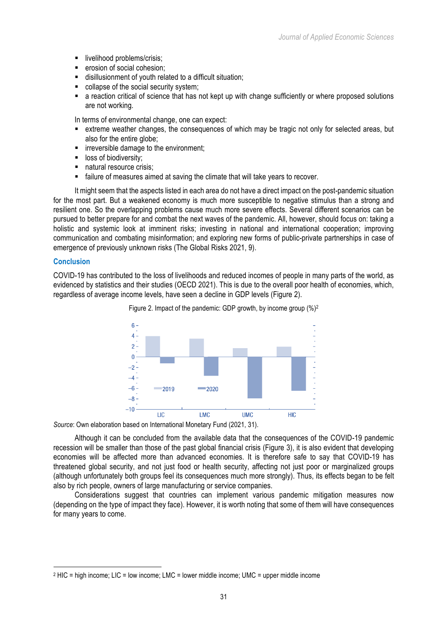- livelihood problems/crisis;
- erosion of social cohesion:
- disillusionment of youth related to a difficult situation;
- collapse of the social security system;
- a reaction critical of science that has not kept up with change sufficiently or where proposed solutions are not working.

In terms of environmental change, one can expect:

- extreme weather changes, the consequences of which may be tragic not only for selected areas, but also for the entire globe;
- **■** irreversible damage to the environment;
- loss of biodiversity;
- § natural resource crisis;
- failure of measures aimed at saving the climate that will take years to recover.

It might seem that the aspects listed in each area do not have a direct impact on the post-pandemic situation for the most part. But a weakened economy is much more susceptible to negative stimulus than a strong and resilient one. So the overlapping problems cause much more severe effects. Several different scenarios can be pursued to better prepare for and combat the next waves of the pandemic. All, however, should focus on: taking a holistic and systemic look at imminent risks; investing in national and international cooperation; improving communication and combating misinformation; and exploring new forms of public-private partnerships in case of emergence of previously unknown risks (The Global Risks 2021, 9).

# **Conclusion**

 $\overline{a}$ 

COVID-19 has contributed to the loss of livelihoods and reduced incomes of people in many parts of the world, as evidenced by statistics and their studies (OECD 2021). This is due to the overall poor health of economies, which, regardless of average income levels, have seen a decline in GDP levels (Figure 2).





*Source*: Own elaboration based on International Monetary Fund (2021, 31).

Although it can be concluded from the available data that the consequences of the COVID-19 pandemic recession will be smaller than those of the past global financial crisis (Figure 3), it is also evident that developing economies will be affected more than advanced economies. It is therefore safe to say that COVID-19 has threatened global security, and not just food or health security, affecting not just poor or marginalized groups (although unfortunately both groups feel its consequences much more strongly). Thus, its effects began to be felt also by rich people, owners of large manufacturing or service companies.

Considerations suggest that countries can implement various pandemic mitigation measures now (depending on the type of impact they face). However, it is worth noting that some of them will have consequences for many years to come.

<sup>2</sup> HIC = high income; LIC = low income; LMC = lower middle income; UMC = upper middle income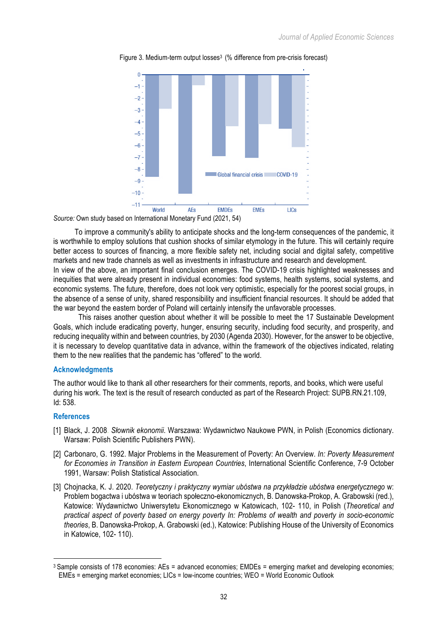

Figure 3. Medium-term output losses<sup>3</sup> (% difference from pre-crisis forecast)

*Source:* Own study based on International Monetary Fund (2021, 54)

To improve a community's ability to anticipate shocks and the long-term consequences of the pandemic, it is worthwhile to employ solutions that cushion shocks of similar etymology in the future. This will certainly require better access to sources of financing, a more flexible safety net, including social and digital safety, competitive markets and new trade channels as well as investments in infrastructure and research and development.

In view of the above, an important final conclusion emerges. The COVID-19 crisis highlighted weaknesses and inequities that were already present in individual economies: food systems, health systems, social systems, and economic systems. The future, therefore, does not look very optimistic, especially for the poorest social groups, in the absence of a sense of unity, shared responsibility and insufficient financial resources. It should be added that the war beyond the eastern border of Poland will certainly intensify the unfavorable processes.

 This raises another question about whether it will be possible to meet the 17 Sustainable Development Goals, which include eradicating poverty, hunger, ensuring security, including food security, and prosperity, and reducing inequality within and between countries, by 2030 (Agenda 2030). However, for the answer to be objective, it is necessary to develop quantitative data in advance, within the framework of the objectives indicated, relating them to the new realities that the pandemic has "offered" to the world.

#### **Acknowledgments**

The author would like to thank all other researchers for their comments, reports, and books, which were useful during his work. The text is the result of research conducted as part of the Research Project: SUPB.RN.21.109, Id: 538.

### **References**

 $\overline{a}$ 

- [1] Black, J. 2008. *Słownik ekonomii*. Warszawa: Wydawnictwo Naukowe PWN, in Polish (Economics dictionary. Warsaw: Polish Scientific Publishers PWN).
- [2] Carbonaro, G. 1992. Major Problems in the Measurement of Poverty: An Overview. *In: Poverty Measurement for Economies in Transition in Eastern European Countries*, International Scientific Conference, 7-9 October 1991, Warsaw: Polish Statistical Association.
- [3] Chojnacka, K. J. 2020. *Teoretyczny i praktyczny wymiar ubóstwa na przykładzie ubóstwa energetycznego* w: Problem bogactwa i ubóstwa w teoriach społeczno-ekonomicznych, B. Danowska-Prokop, A. Grabowski (red.), Katowice: Wydawnictwo Uniwersytetu Ekonomicznego w Katowicach, 102- 110, in Polish (*Theoretical and practical aspect of poverty based on energy poverty In: Problems of wealth and poverty in socio-economic theories*, B. Danowska-Prokop, A. Grabowski (ed.), Katowice: Publishing House of the University of Economics in Katowice, 102- 110).

<sup>3</sup> Sample consists of 178 economies: AEs = advanced economies; EMDEs = emerging market and developing economies; EMEs = emerging market economies; LICs = low-income countries; WEO = World Economic Outlook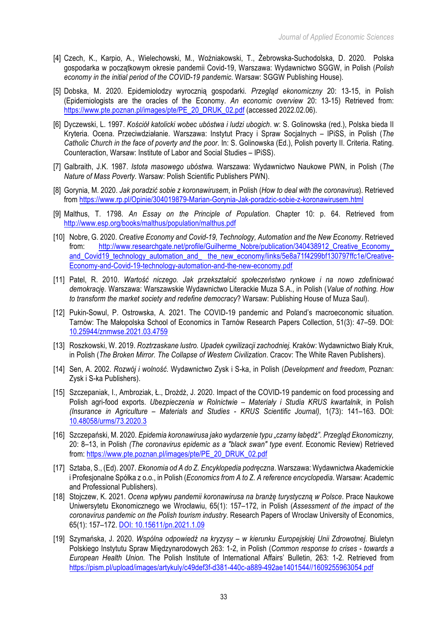- [4] Czech, K., Karpio, A., Wielechowski, M., Woźniakowski, T., Żebrowska-Suchodolska, D. 2020. Polska gospodarka w początkowym okresie pandemii Covid-19, Warszawa: Wydawnictwo SGGW, in Polish (*Polish economy in the initial period of the COVID-19 pandemic*. Warsaw: SGGW Publishing House).
- [5] Dobska, M. 2020. Epidemiolodzy wyrocznią gospodarki. *Przegląd ekonomiczny* 20: 13-15, in Polish (Epidemiologists are the oracles of the Economy. *An economic overview* 20: 13-15) Retrieved from: https://www.pte.poznan.pl/images/pte/PE\_20\_DRUK\_02.pdf (accessed 2022.02.06).
- [6] Dyczewski, L. 1997. *Kościół katolicki wobec ubóstwa i ludzi ubogich*. w: S. Golinowska (red.), Polska bieda II Kryteria. Ocena. Przeciwdziałanie. Warszawa: Instytut Pracy i Spraw Socjalnych – IPiSS, in Polish (*The Catholic Church in the face of poverty and the poor*. In: S. Golinowska (Ed.), Polish poverty II. Criteria. Rating. Counteraction, Warsaw: Institute of Labor and Social Studies – IPiSS).
- [7] Galbraith, J.K. 1987. *Istota masowego ubóstwa.* Warszawa: Wydawnictwo Naukowe PWN, in Polish (*The Nature of Mass Poverty.* Warsaw: Polish Scientific Publishers PWN).
- [8] Gorynia, M. 2020. *Jak poradzić sobie z koronawirusem*, in Polish (*How to deal with the coronavirus*). Retrieved from https://www.rp.pl/Opinie/304019879-Marian-Gorynia-Jak-poradzic-sobie-z-koronawirusem.html
- [9] Malthus, T. 1798. *An Essay on the Principle of Population*. Chapter 10: p. 64. Retrieved from http://www.esp.org/books/malthus/population/malthus.pdf
- [10] Nobre, G. 2020. *Creative Economy and Covid-19, Technology, Automation and the New Economy*. Retrieved from: http://www.researchgate.net/profile/Guilherme\_Nobre/publication/340438912\_Creative\_Economy and\_Covid19\_technology\_automation\_and\_ the\_new\_economy/links/5e8a71f4299bf130797ffc1e/Creative-Economy-and-Covid-19-technology-automation-and-the-new-economy.pdf
- [11] Patel, R. 2010. *Wartość niczego. Jak przekształcić społeczeństwo rynkowe i na nowo zdefiniować demokrację.* Warszawa: Warszawskie Wydawnictwo Literackie Muza S.A., in Polish (*Value of nothing. How to transform the market society and redefine democracy*? Warsaw: Publishing House of Muza Saul).
- [12] Pukin-Sowul, P. Ostrowska, A. 2021. The COVID-19 pandemic and Poland's macroeconomic situation. Tarnów: The Małopolska School of Economics in Tarnów Research Papers Collection, 51(3): 47–59. DOI: 10.25944/znmwse.2021.03.4759
- [13] Roszkowski, W. 2019. *Roztrzaskane lustro. Upadek cywilizacji zachodniej.* Kraków: Wydawnictwo Biały Kruk, in Polish (*The Broken Mirror. The Collapse of Western Civilization*. Cracov: The White Raven Publishers).
- [14] Sen, A. 2002. *Rozwój i wolność*. Wydawnictwo Zysk i S-ka, in Polish (*Development and freedom*, Poznan: Zysk i S-ka Publishers).
- [15] Szczepaniak, I., Ambroziak, Ł., Drożdż, J. 2020. Impact of the COVID-19 pandemic on food processing and Polish agri-food exports. *Ubezpieczenia w Rolnictwie – Materiały i Studia KRUS kwartalnik*, in Polish *(Insurance in Agriculture – Materials and Studies - KRUS Scientific Journal)*, 1(73): 141–163. DOI: 10.48058/urms/73.2020.3
- [16] Szczepański, M. 2020. *Epidemia koronawirusa jako wydarzenie typu "czarny łabędź". Przegląd Ekonomiczny,* 20: 8–13, in Polish *(The coronavirus epidemic as a "black swan" type event*. Economic Review) Retrieved from: https://www.pte.poznan.pl/images/pte/PE\_20\_DRUK\_02.pdf
- [17] Sztaba, S., (Ed). 2007*. Ekonomia od A do Z. Encyklopedia podręczna*. Warszawa: Wydawnictwa Akademickie i Profesjonalne Spółka z o.o., in Polish (*Economics from A to Z. A reference encyclopedia*. Warsaw: Academic and Professional Publishers).
- [18] Stojczew, K. 2021. *Ocena wpływu pandemii koronawirusa na branżę turystyczną w Polsce*. Prace Naukowe Uniwersytetu Ekonomicznego we Wrocławiu, 65(1): 157–172, in Polish (*Assessment of the impact of the coronavirus pandemic on the Polish tourism industry*. Research Papers of Wroclaw University of Economics, 65(1): 157–172. DOI: 10.15611/pn.2021.1.09
- [19] Szymańska, J. 2020. *Wspólna odpowiedź na kryzysy – w kierunku Europejskiej Unii Zdrowotnej*. Biuletyn Polskiego Instytutu Spraw Międzynarodowych 263: 1-2, in Polish (*Common response to crises - towards a European Health Union.* The Polish Institute of International Affairs' Bulletin, 263: 1-2. Retrieved from https://pism.pl/upload/images/artykuly/c49def3f-d381-440c-a889-492ae1401544//1609255963054.pdf